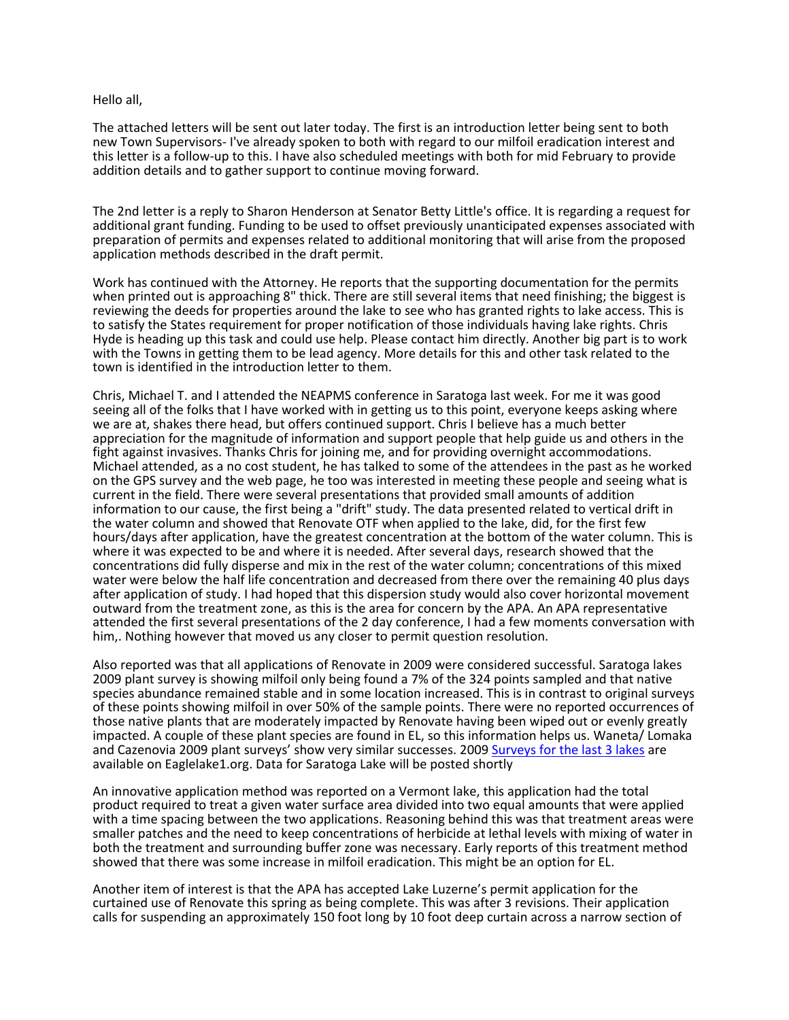Hello all,

The attached letters will be sent out later today. The first is an introduction letter being sent to both new Town Supervisors- I've already spoken to both with regard to our milfoil eradication interest and this letter is a follow-up to this. I have also scheduled meetings with both for mid February to provide addition details and to gather support to continue moving forward.

The 2nd letter is a reply to Sharon Henderson at Senator Betty Little's office. It is regarding a request for additional grant funding. Funding to be used to offset previously unanticipated expenses associated with preparation of permits and expenses related to additional monitoring that will arise from the proposed application methods described in the draft permit.

Work has continued with the Attorney. He reports that the supporting documentation for the permits when printed out is approaching 8" thick. There are still several items that need finishing; the biggest is reviewing the deeds for properties around the lake to see who has granted rights to lake access. This is to satisfy the States requirement for proper notification of those individuals having lake rights. Chris Hyde is heading up this task and could use help. Please contact him directly. Another big part is to work with the Towns in getting them to be lead agency. More details for this and other task related to the town is identified in the introduction letter to them.

Chris, Michael T. and I attended the NEAPMS conference in Saratoga last week. For me it was good seeing all of the folks that I have worked with in getting us to this point, everyone keeps asking where we are at, shakes there head, but offers continued support. Chris I believe has a much better appreciation for the magnitude of information and support people that help guide us and others in the fight against invasives. Thanks Chris for joining me, and for providing overnight accommodations. Michael attended, as a no cost student, he has talked to some of the attendees in the past as he worked on the GPS survey and the web page, he too was interested in meeting these people and seeing what is current in the field. There were several presentations that provided small amounts of addition information to our cause, the first being a "drift" study. The data presented related to vertical drift in the water column and showed that Renovate OTF when applied to the lake, did, for the first few hours/days after application, have the greatest concentration at the bottom of the water column. This is where it was expected to be and where it is needed. After several days, research showed that the concentrations did fully disperse and mix in the rest of the water column; concentrations of this mixed water were below the half life concentration and decreased from there over the remaining 40 plus days after application of study. I had hoped that this dispersion study would also cover horizontal movement outward from the treatment zone, as this is the area for concern by the APA. An APA representative attended the first several presentations of the 2 day conference, I had a few moments conversation with him,. Nothing however that moved us any closer to permit question resolution.

Also reported was that all applications of Renovate in 2009 were considered successful. Saratoga lakes 2009 plant survey is showing milfoil only being found a 7% of the 324 points sampled and that native species abundance remained stable and in some location increased. This is in contrast to original surveys of these points showing milfoil in over 50% of the sample points. There were no reported occurrences of those native plants that are moderately impacted by Renovate having been wiped out or evenly greatly impacted. A couple of these plant species are found in EL, so this information helps us. Waneta/ Lomaka and Cazenovia 2009 plant surveys' show very similar successes. 2009 [Surveys for the last 3 lakes](http://test.eaglelake1.org/html/other_lakes/other_plant_surveys.shtml) are available on Eaglelake1.org. Data for Saratoga Lake will be posted shortly

An innovative application method was reported on a Vermont lake, this application had the total product required to treat a given water surface area divided into two equal amounts that were applied with a time spacing between the two applications. Reasoning behind this was that treatment areas were smaller patches and the need to keep concentrations of herbicide at lethal levels with mixing of water in both the treatment and surrounding buffer zone was necessary. Early reports of this treatment method showed that there was some increase in milfoil eradication. This might be an option for EL.

Another item of interest is that the APA has accepted Lake Luzerne's permit application for the curtained use of Renovate this spring as being complete. This was after 3 revisions. Their application calls for suspending an approximately 150 foot long by 10 foot deep curtain across a narrow section of